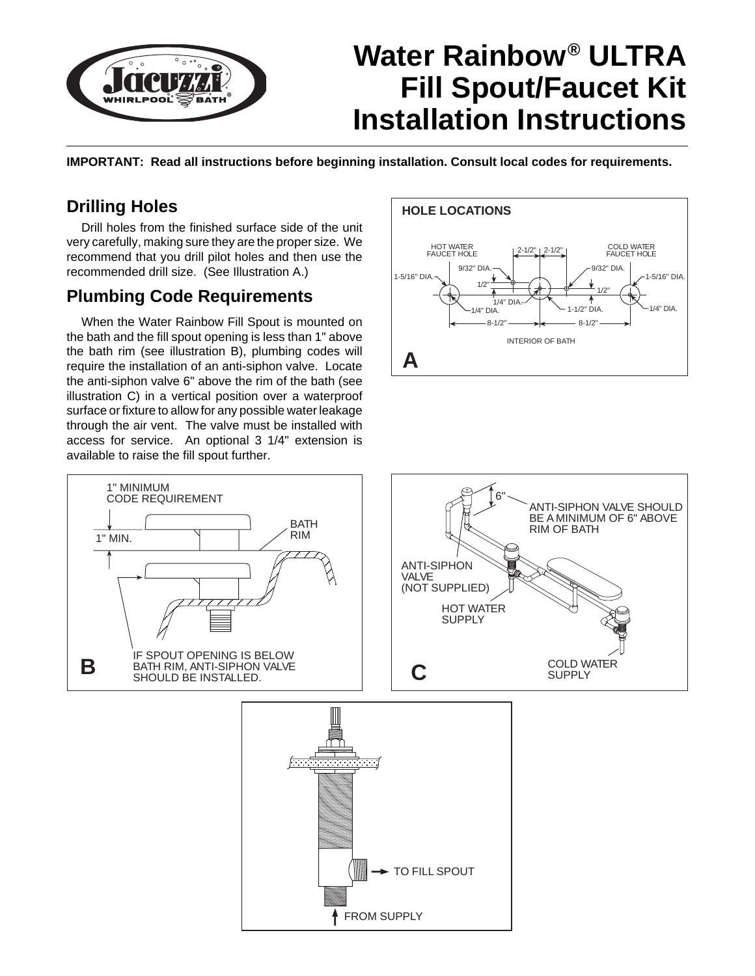

# **Water Rainbow® ULTRA Fill Spout/Faucet Kit Installation Instructions**

**IMPORTANT: Read all instructions before beginning installation. Consult local codes for requirements.**

## **Drilling Holes**

Drill holes from the finished surface side of the unit very carefully, making sure they are the proper size. We recommend that you drill pilot holes and then use the recommended drill size. (See Illustration A.)

## **Plumbing Code Requirements**

When the Water Rainbow Fill Spout is mounted on the bath and the fill spout opening is less than 1" above the bath rim (see illustration B), plumbing codes will require the installation of an anti-siphon valve. Locate the anti-siphon valve 6" above the rim of the bath (see illustration C) in a vertical position over a waterproof surface or fixture to allow for any possible water leakage through the air vent. The valve must be installed with access for service. An optional 3 1/4" extension is available to raise the fill spout further.





FROM SUPPLY

TO FILL SPOUT